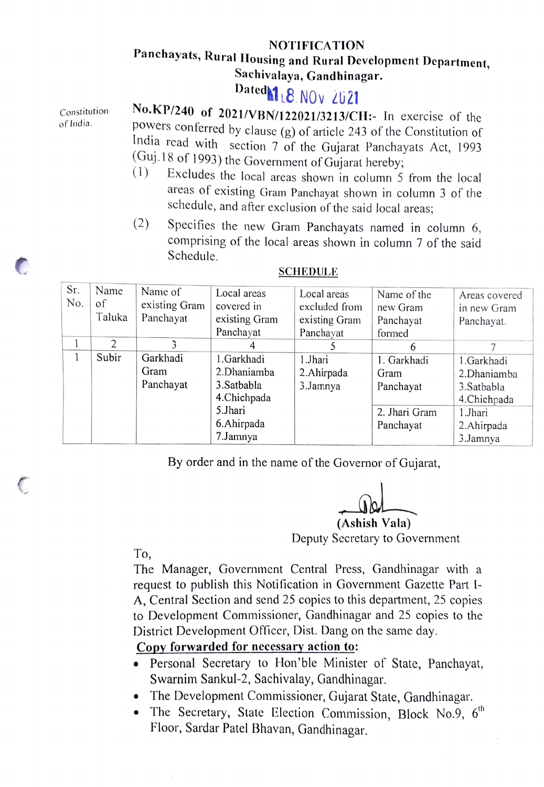## NOTIFICATION Panchayats, Rural Housing and Rural Development Department, Sachivalaya, Gandhinagar.

## Dated 18 NOv 2021

Constitution of India.

No.KP/240 of 2021/VBN/122021/3213/CH:- In exercise of the powers conferred by clause (g) of article 243 of the Constitution of India read with section 7 of the Gujarat Panchayats Act, 1993<br>(Guj.18 of 1993) the Government of Gujarat hereby;

- $(1)$  Excludes the local areas shown in column 5 from the local areas of existing Gram Panchayat shown in column 3 of the schedule, and after exclusion of the said local areas;
- (2) Specifies the new Gram Panchayats named in column  $6$ , comprising of the local areas shown in column 7 of the said Schedule.

| Sr.<br>N <sub>o</sub> | Name<br>of<br>Taluka | Name of<br>existing Gram<br>Panchayat | Local areas<br>covered in<br>existing Gram<br>Panchayat | Local areas<br>excluded from<br>existing Gram<br>Panchayat | Name of the<br>new Gram<br>Panchayat<br>formed | Areas covered<br>in new Gram<br>Panchayat. |
|-----------------------|----------------------|---------------------------------------|---------------------------------------------------------|------------------------------------------------------------|------------------------------------------------|--------------------------------------------|
|                       | $\mathfrak{D}$       |                                       |                                                         |                                                            | 6                                              |                                            |
|                       | Subir                | Garkhadi                              | 1.Garkhadi                                              | 1.Jhari                                                    | 1. Garkhadi                                    | 1.Garkhadi                                 |
|                       |                      | Gram                                  | 2.Dhaniamba                                             | 2. Ahirpada                                                | Gram                                           | 2.Dhaniamba                                |
|                       |                      | Panchayat                             | 3.Satbabla                                              | 3.Jamnya                                                   | Panchayat                                      | 3. Satbabla                                |
|                       |                      |                                       | 4.Chichpada                                             |                                                            |                                                | 4.Chichpada                                |
|                       |                      |                                       | 5.Jhari                                                 |                                                            | 2. Jhari Gram                                  | 1.Jhari                                    |
|                       |                      |                                       | 6.Ahirpada                                              |                                                            | Panchayat                                      | 2. Ahirpada                                |
|                       |                      |                                       | 7.Jamnya                                                |                                                            |                                                | 3.Jamnya                                   |

## **SCHEDULE**

By order and in the name of the Governor of Gujarat,

(Ashish Vala) Deputy Secretary to Government

To,

The Manager, Government Central Press, Gandhinagar with a request to publish this Notification in Government Gazette Part 1- A, Central Section and send 25 copies to this department, 25 copies to Development Commissioner, Gandhinagar and 25 copies to the District Development Officer, Dist. Dang on the same day.

## Copy forwarded for necessary action to:

- Personal Secretary to Hon'ble Minister of State, Panchayat, Swarnim Sankul-2, Sachivalay, Gandhinagar.
- The Development Commissioner, Gujarat State, Gandhinagar.<br>• The Secretary, State Election Commission, Block No.9, 6<sup>th</sup>
- Floor, Sardar Patel Bhavan, Gandhinagar.